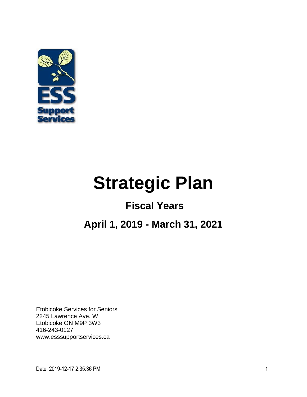

# **Strategic Plan**

# **Fiscal Years**

# **April 1, 2019 - March 31, 2021**

Etobicoke Services for Seniors 2245 Lawrence Ave. W Etobicoke ON M9P 3W3 416-243-0127 [www.esssupportservices.ca](http://www.ess.web.ca/)

Date: 2019-12-17 2:35:36 PM 1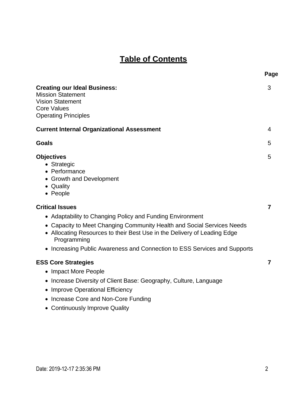## **Table of Contents**

|                                                                                                                                                                                                                                                                                                                                       | Page |
|---------------------------------------------------------------------------------------------------------------------------------------------------------------------------------------------------------------------------------------------------------------------------------------------------------------------------------------|------|
| <b>Creating our Ideal Business:</b><br><b>Mission Statement</b><br><b>Vision Statement</b><br><b>Core Values</b><br><b>Operating Principles</b>                                                                                                                                                                                       | 3    |
| <b>Current Internal Organizational Assessment</b>                                                                                                                                                                                                                                                                                     | 4    |
| <b>Goals</b>                                                                                                                                                                                                                                                                                                                          | 5    |
| <b>Objectives</b><br>• Strategic<br>• Performance<br>• Growth and Development<br>• Quality<br>• People                                                                                                                                                                                                                                | 5    |
| <b>Critical Issues</b><br>• Adaptability to Changing Policy and Funding Environment<br>• Capacity to Meet Changing Community Health and Social Services Needs<br>• Allocating Resources to their Best Use in the Delivery of Leading Edge<br>Programming<br>• Increasing Public Awareness and Connection to ESS Services and Supports | 7    |
| <b>ESS Core Strategies</b><br>• Impact More People<br>• Increase Diversity of Client Base: Geography, Culture, Language<br>• Improve Operational Efficiency<br>• Increase Core and Non-Core Funding<br>• Continuously Improve Quality                                                                                                 | 7    |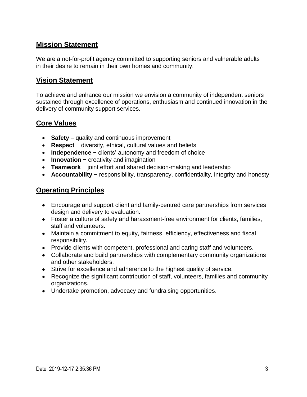#### **Mission Statement**

We are a not-for-profit agency committed to supporting seniors and vulnerable adults in their desire to remain in their own homes and community.

#### **Vision Statement**

To achieve and enhance our mission we envision a community of independent seniors sustained through excellence of operations, enthusiasm and continued innovation in the delivery of community support services.

#### **Core Values**

- **Safety** quality and continuous improvement
- **Respect** − diversity, ethical, cultural values and beliefs
- **Independence** − clients' autonomy and freedom of choice
- **Innovation** − creativity and imagination
- **Teamwork** − joint effort and shared decision-making and leadership
- **Accountability** − responsibility, transparency, confidentiality, integrity and honesty

#### **Operating Principles**

- Encourage and support client and family-centred care partnerships from services design and delivery to evaluation.
- Foster a culture of safety and harassment-free environment for clients, families, staff and volunteers.
- Maintain a commitment to equity, fairness, efficiency, effectiveness and fiscal responsibility.
- Provide clients with competent, professional and caring staff and volunteers.
- Collaborate and build partnerships with complementary community organizations and other stakeholders.
- Strive for excellence and adherence to the highest quality of service.
- Recognize the significant contribution of staff, volunteers, families and community organizations.
- Undertake promotion, advocacy and fundraising opportunities.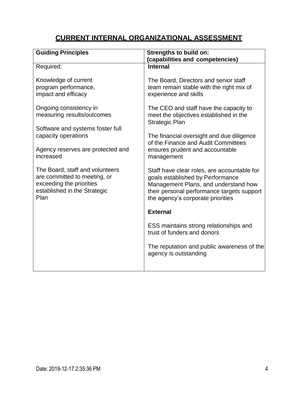### **CURRENT INTERNAL ORGANIZATIONAL ASSESSMENT**

| <b>Guiding Principles</b>                                                                                                           | <b>Strengths to build on:</b><br>(capabilities and competencies)                                                                                                                                           |  |
|-------------------------------------------------------------------------------------------------------------------------------------|------------------------------------------------------------------------------------------------------------------------------------------------------------------------------------------------------------|--|
| Required:                                                                                                                           | <b>Internal</b>                                                                                                                                                                                            |  |
| Knowledge of current<br>program performance,<br>impact and efficacy                                                                 | The Board, Directors and senior staff<br>team remain stable with the right mix of<br>experience and skills                                                                                                 |  |
| Ongoing consistency in<br>measuring results/outcomes                                                                                | The CEO and staff have the capacity to<br>meet the objectives established in the<br><b>Strategic Plan</b>                                                                                                  |  |
| Software and systems foster full<br>capacity operations                                                                             | The financial oversight and due diligence<br>of the Finance and Audit Committees                                                                                                                           |  |
| Agency reserves are protected and<br>increased                                                                                      | ensures prudent and accountable<br>management                                                                                                                                                              |  |
| The Board, staff and volunteers<br>are committed to meeting, or<br>exceeding the priorities<br>established in the Strategic<br>Plan | Staff have clear roles, are accountable for<br>goals established by Performance<br>Management Plans, and understand how<br>their personal performance targets support<br>the agency's corporate priorities |  |
|                                                                                                                                     | <b>External</b>                                                                                                                                                                                            |  |
|                                                                                                                                     | ESS maintains strong relationships and<br>trust of funders and donors                                                                                                                                      |  |
|                                                                                                                                     | The reputation and public awareness of the<br>agency is outstanding                                                                                                                                        |  |
|                                                                                                                                     |                                                                                                                                                                                                            |  |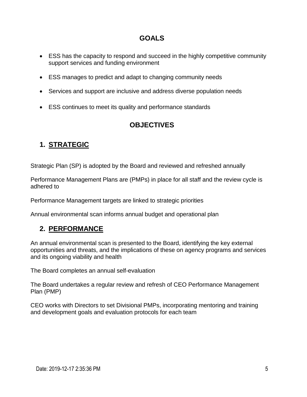#### **GOALS**

- ESS has the capacity to respond and succeed in the highly competitive community support services and funding environment
- ESS manages to predict and adapt to changing community needs
- Services and support are inclusive and address diverse population needs
- ESS continues to meet its quality and performance standards

#### **OBJECTIVES**

#### **1. STRATEGIC**

Strategic Plan (SP) is adopted by the Board and reviewed and refreshed annually

Performance Management Plans are (PMPs) in place for all staff and the review cycle is adhered to

Performance Management targets are linked to strategic priorities

Annual environmental scan informs annual budget and operational plan

#### **2. PERFORMANCE**

An annual environmental scan is presented to the Board, identifying the key external opportunities and threats, and the implications of these on agency programs and services and its ongoing viability and health

The Board completes an annual self-evaluation

The Board undertakes a regular review and refresh of CEO Performance Management Plan (PMP)

CEO works with Directors to set Divisional PMPs, incorporating mentoring and training and development goals and evaluation protocols for each team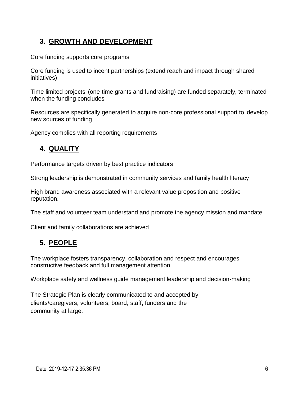#### **3. GROWTH AND DEVELOPMENT**

Core funding supports core programs

Core funding is used to incent partnerships (extend reach and impact through shared initiatives)

Time limited projects (one-time grants and fundraising) are funded separately, terminated when the funding concludes

Resources are specifically generated to acquire non-core professional support to develop new sources of funding

Agency complies with all reporting requirements

#### **4. QUALITY**

Performance targets driven by best practice indicators

Strong leadership is demonstrated in community services and family health literacy

High brand awareness associated with a relevant value proposition and positive reputation.

The staff and volunteer team understand and promote the agency mission and mandate

Client and family collaborations are achieved

#### **5. PEOPLE**

The workplace fosters transparency, collaboration and respect and encourages constructive feedback and full management attention

Workplace safety and wellness guide management leadership and decision-making

The Strategic Plan is clearly communicated to and accepted by clients/caregivers, volunteers, board, staff, funders and the community at large.